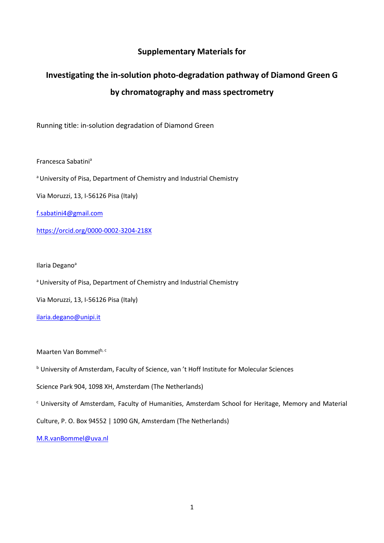## **Supplementary Materials for**

## **Investigating the in-solution photo-degradation pathway of Diamond Green G by chromatography and mass spectrometry**

Running title: in-solution degradation of Diamond Green

Francesca Sabatini<sup>a</sup>

<sup>a</sup> University of Pisa, Department of Chemistry and Industrial Chemistry

Via Moruzzi, 13, I-56126 Pisa (Italy)

[f.sabatini4@gmail.com](mailto:f.sabatini4@gmail.com)

https://orcid.org/0000-0002-3204-218X

Ilaria Degano<sup>a</sup>

a University of Pisa, Department of Chemistry and Industrial Chemistry

Via Moruzzi, 13, I-56126 Pisa (Italy)

[ilaria.degano@unipi.it](mailto:ilaria.degano@unipi.it)

Maarten Van Bommelb, c

<sup>b</sup> University of Amsterdam, Faculty of Science, van 't Hoff Institute for Molecular Sciences

Science Park 904, 1098 XH, Amsterdam (The Netherlands)

<sup>c</sup> University of Amsterdam, Faculty of Humanities, Amsterdam School for Heritage, Memory and Material

Culture, P. O. Box 94552 | 1090 GN, Amsterdam (The Netherlands)

[M.R.vanBommel@uva.nl](mailto:M.R.vanBommel@uva.nl)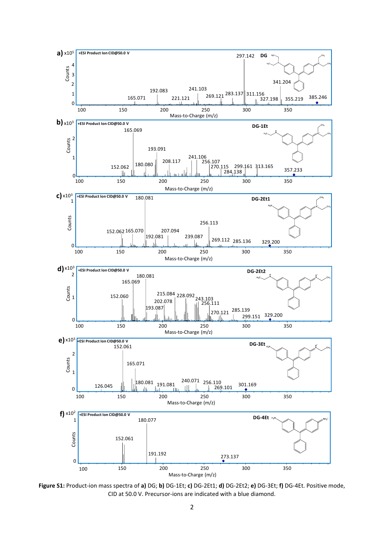

**Figure S1:** Product-ion mass spectra of **a)** DG; **b)** DG-1Et; **c)** DG-2Et1; **d)** DG-2Et2; **e)** DG-3Et; **f)** DG-4Et. Positive mode, CID at 50.0 V. Precursor-ions are indicated with a blue diamond.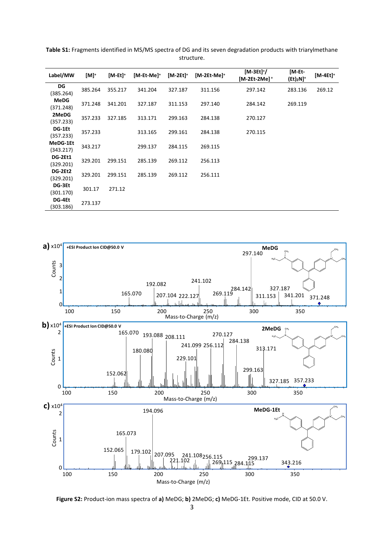| Label/MW                 | [M] <sup>+</sup> | [M-Et] <sup>+</sup> | [M-Et-Me] <sup>+</sup> | $[M-2Et]$ <sup>+</sup> | $[M-2Et-Mel^+]$ | [M-3Et] <sup>+</sup> /<br>[M-2Et-2Me]+ | [M-Et-<br>$(Et)_2N]^+$ | [M-4Et] <sup>+</sup> |
|--------------------------|------------------|---------------------|------------------------|------------------------|-----------------|----------------------------------------|------------------------|----------------------|
| DG<br>(385.264)          | 385.264          | 355.217             | 341.204                | 327.187                | 311.156         | 297.142                                | 283.136                | 269.12               |
| <b>MeDG</b><br>(371.248) | 371.248          | 341.201             | 327.187                | 311.153                | 297.140         | 284.142                                | 269.119                |                      |
| 2MeDG<br>(357.233)       | 357.233          | 327.185             | 313.171                | 299.163                | 284.138         | 270.127                                |                        |                      |
| DG-1Et<br>(357.233)      | 357.233          |                     | 313.165                | 299.161                | 284.138         | 270.115                                |                        |                      |
| MeDG-1Et<br>(343.217)    | 343.217          |                     | 299.137                | 284.115                | 269.115         |                                        |                        |                      |
| DG-2Et1<br>(329.201)     | 329.201          | 299.151             | 285.139                | 269.112                | 256.113         |                                        |                        |                      |
| DG-2Et2<br>(329.201)     | 329.201          | 299.151             | 285.139                | 269.112                | 256.111         |                                        |                        |                      |
| DG-3Et<br>(301.170)      | 301.17           | 271.12              |                        |                        |                 |                                        |                        |                      |
| DG-4Et<br>303.186)       | 273.137          |                     |                        |                        |                 |                                        |                        |                      |

**Table S1:** Fragments identified in MS/MS spectra of DG and its seven degradation products with triarylmethane structure.



**Figure S2:** Product-ion mass spectra of **a)** MeDG; **b)** 2MeDG; **c)** MeDG-1Et. Positive mode, CID at 50.0 V.